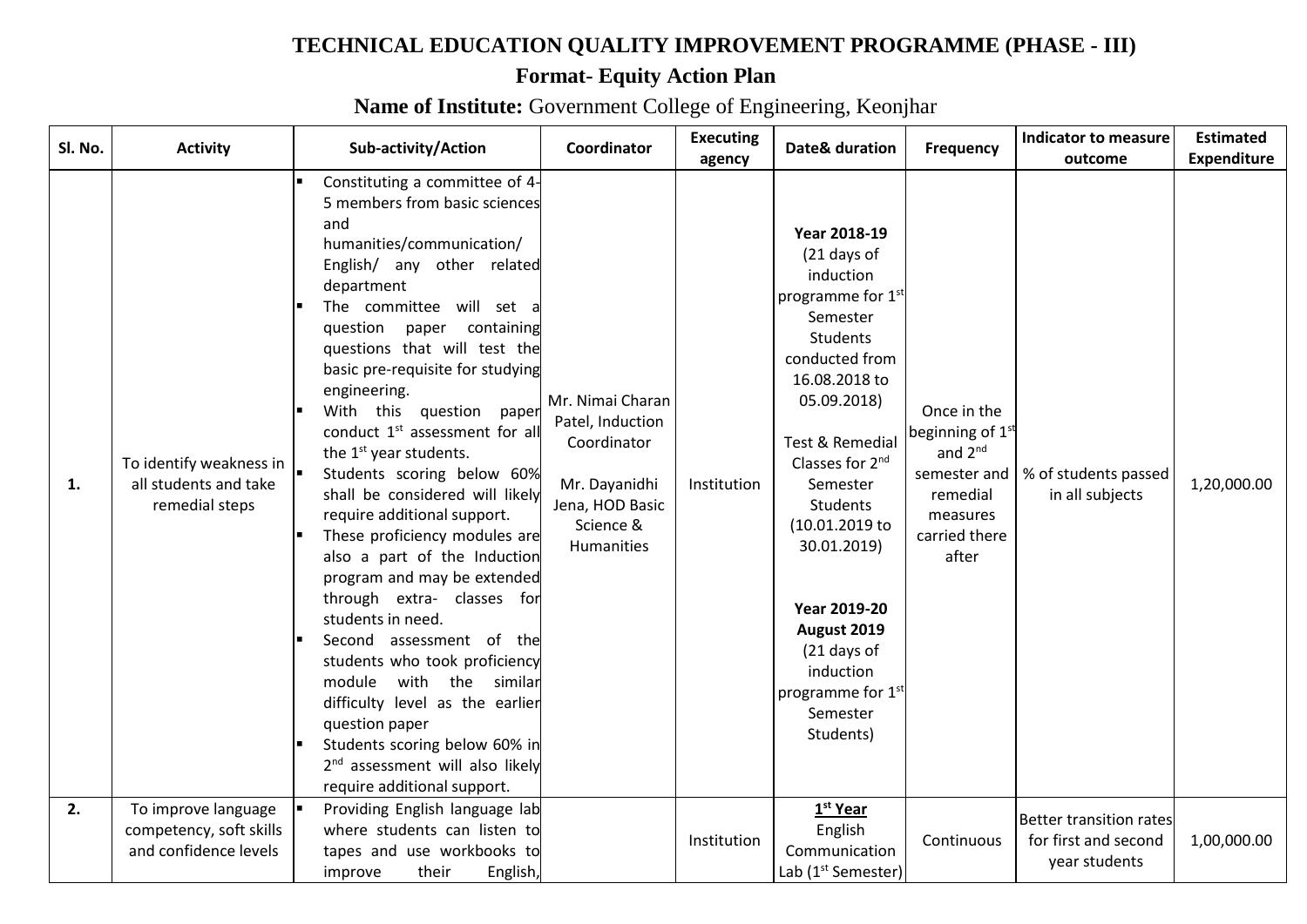## **TECHNICAL EDUCATION QUALITY IMPROVEMENT PROGRAMME (PHASE - III)**

## **Format- Equity Action Plan**

**Name of Institute:** Government College of Engineering, Keonjhar

| Sl. No. | <b>Activity</b>                                                         | Sub-activity/Action                                                                                                                                                                                                                                                                                                                                                                                                                                                                                                                                                                                                                                                                                                                                                                                                                                                                                                             | Coordinator                                                                                                        | <b>Executing</b><br>agency | Date& duration                                                                                                                                                                                                                                                                                                                                                                                           | Frequency                                                                                                                     | <b>Indicator to measure</b><br>outcome                           | <b>Estimated</b><br><b>Expenditure</b> |
|---------|-------------------------------------------------------------------------|---------------------------------------------------------------------------------------------------------------------------------------------------------------------------------------------------------------------------------------------------------------------------------------------------------------------------------------------------------------------------------------------------------------------------------------------------------------------------------------------------------------------------------------------------------------------------------------------------------------------------------------------------------------------------------------------------------------------------------------------------------------------------------------------------------------------------------------------------------------------------------------------------------------------------------|--------------------------------------------------------------------------------------------------------------------|----------------------------|----------------------------------------------------------------------------------------------------------------------------------------------------------------------------------------------------------------------------------------------------------------------------------------------------------------------------------------------------------------------------------------------------------|-------------------------------------------------------------------------------------------------------------------------------|------------------------------------------------------------------|----------------------------------------|
| 1.      | To identify weakness in<br>all students and take<br>remedial steps      | Constituting a committee of 4-<br>5 members from basic sciences<br>and<br>humanities/communication/<br>English/ any other related<br>department<br>The committee will set<br>question paper containing<br>questions that will test the<br>basic pre-requisite for studying<br>engineering.<br>With this question<br>paper<br>conduct 1 <sup>st</sup> assessment for all<br>the 1 <sup>st</sup> year students.<br>Students scoring below 60%<br>shall be considered will likely<br>require additional support.<br>These proficiency modules are<br>also a part of the Induction<br>program and may be extended<br>through extra- classes for<br>students in need.<br>Second assessment of the<br>students who took proficiency<br>module<br>with the similar<br>difficulty level as the earlier<br>question paper<br>Students scoring below 60% in<br>2 <sup>nd</sup> assessment will also likely<br>require additional support. | Mr. Nimai Charan<br>Patel, Induction<br>Coordinator<br>Mr. Dayanidhi<br>Jena, HOD Basic<br>Science &<br>Humanities | Institution                | Year 2018-19<br>(21 days of<br>induction<br>programme for 1 <sup>st</sup><br>Semester<br><b>Students</b><br>conducted from<br>16.08.2018 to<br>05.09.2018)<br>Test & Remedial<br>Classes for 2 <sup>nd</sup><br>Semester<br><b>Students</b><br>(10.01.2019 to<br>30.01.2019)<br><b>Year 2019-20</b><br>August 2019<br>(21 days of<br>induction<br>programme for 1 <sup>st</sup><br>Semester<br>Students) | Once in the<br>beginning of $1^{\text{st}}$<br>and $2^{nd}$<br>semester and<br>remedial<br>measures<br>carried there<br>after | % of students passed<br>in all subjects                          | 1,20,000.00                            |
| 2.      | To improve language<br>competency, soft skills<br>and confidence levels | Providing English language lab<br>where students can listen to<br>tapes and use workbooks to<br>English,<br>their<br>improve                                                                                                                                                                                                                                                                                                                                                                                                                                                                                                                                                                                                                                                                                                                                                                                                    |                                                                                                                    | Institution                | 1 <sup>st</sup> Year<br>English<br>Communication<br>Lab (1 <sup>st</sup> Semester)                                                                                                                                                                                                                                                                                                                       | Continuous                                                                                                                    | Better transition rates<br>for first and second<br>year students | 1,00,000.00                            |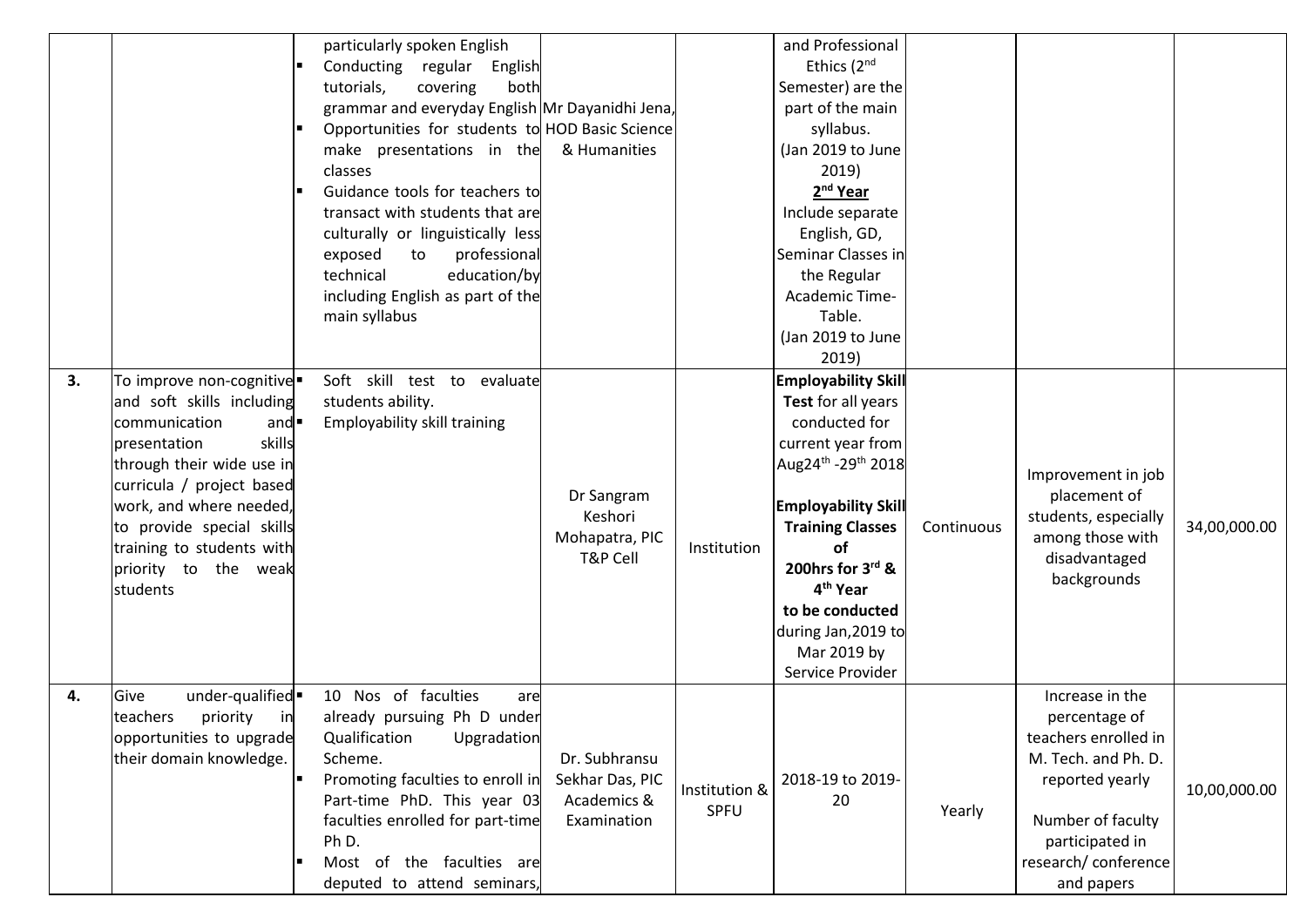|    |                                                                                                                                                                                                                                                                                | particularly spoken English<br>Conducting regular<br>English<br>both<br>tutorials,<br>covering<br>grammar and everyday English Mr Dayanidhi Jena,<br>Opportunities for students to HOD Basic Science<br>make presentations in the<br>classes<br>Guidance tools for teachers to<br>transact with students that are<br>culturally or linguistically less<br>exposed<br>professional<br>to<br>technical<br>education/by<br>including English as part of the<br>main syllabus | & Humanities                                                   |                       | and Professional<br>Ethics (2 <sup>nd</sup><br>Semester) are the<br>part of the main<br>syllabus.<br>(Jan 2019 to June<br>2019)<br>2 <sup>nd</sup> Year<br>Include separate<br>English, GD,<br>Seminar Classes in<br>the Regular<br>Academic Time-<br>Table. |            |                                                                                                                                                                                  |              |
|----|--------------------------------------------------------------------------------------------------------------------------------------------------------------------------------------------------------------------------------------------------------------------------------|---------------------------------------------------------------------------------------------------------------------------------------------------------------------------------------------------------------------------------------------------------------------------------------------------------------------------------------------------------------------------------------------------------------------------------------------------------------------------|----------------------------------------------------------------|-----------------------|--------------------------------------------------------------------------------------------------------------------------------------------------------------------------------------------------------------------------------------------------------------|------------|----------------------------------------------------------------------------------------------------------------------------------------------------------------------------------|--------------|
| 3. | To improve non-cognitive<br>and soft skills including<br>communication<br>and<br>skills<br>presentation<br>through their wide use in<br>curricula / project based<br>work, and where needed,<br>to provide special skills<br>training to students with<br>priority to the weak | Soft skill test to evaluate<br>students ability.<br>Employability skill training                                                                                                                                                                                                                                                                                                                                                                                          | Dr Sangram<br>Keshori<br>Mohapatra, PIC<br>T&P Cell            | Institution           | (Jan 2019 to June<br>2019)<br><b>Employability Skill</b><br>Test for all years<br>conducted for<br>current year from<br>Aug24th - 29th 2018<br><b>Employability Skill</b><br><b>Training Classes</b><br>οf<br>200hrs for 3rd &                               | Continuous | Improvement in job<br>placement of<br>students, especially<br>among those with<br>disadvantaged<br>backgrounds                                                                   | 34,00,000.00 |
|    | students                                                                                                                                                                                                                                                                       |                                                                                                                                                                                                                                                                                                                                                                                                                                                                           |                                                                |                       | 4 <sup>th</sup> Year<br>to be conducted<br>during Jan, 2019 to<br>Mar 2019 by<br>Service Provider                                                                                                                                                            |            |                                                                                                                                                                                  |              |
| 4. | under-qualified .<br>Give<br>teachers<br>priority<br>in<br>opportunities to upgrade<br>their domain knowledge.<br>п                                                                                                                                                            | 10 Nos of faculties<br>are<br>already pursuing Ph D under<br>Upgradation<br>Qualification<br>Scheme.<br>Promoting faculties to enroll in<br>Part-time PhD. This year 03<br>faculties enrolled for part-time<br>Ph D.<br>Most of the faculties are<br>deputed to attend seminars,                                                                                                                                                                                          | Dr. Subhransu<br>Sekhar Das, PIC<br>Academics &<br>Examination | Institution &<br>SPFU | 2018-19 to 2019-<br>20                                                                                                                                                                                                                                       | Yearly     | Increase in the<br>percentage of<br>teachers enrolled in<br>M. Tech. and Ph. D.<br>reported yearly<br>Number of faculty<br>participated in<br>research/ conference<br>and papers | 10,00,000.00 |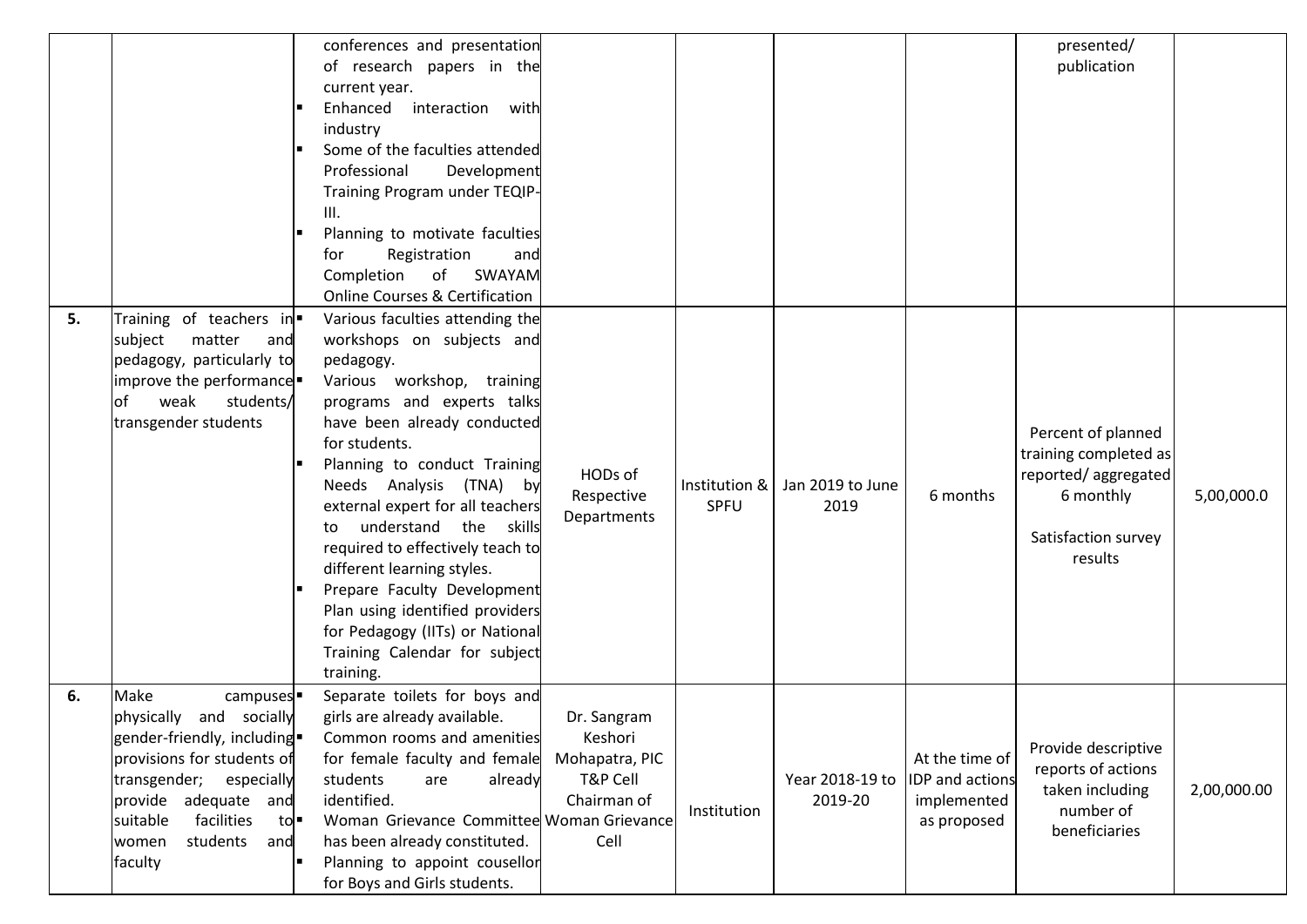|    |                                                                                                                                                                                                                                                          | conferences and presentation<br>of research papers in the<br>current year.<br>Enhanced<br>interaction<br>with<br>industry<br>Some of the faculties attended<br>Professional<br>Development<br>Training Program under TEQIP-<br>III.<br>Planning to motivate faculties<br>Registration<br>for<br>and<br>of<br>Completion<br>SWAYAM<br><b>Online Courses &amp; Certification</b>                                                                                                                                                           |                                                                             |                       |                            |                                                                 | presented/<br>publication                                                                                         |             |
|----|----------------------------------------------------------------------------------------------------------------------------------------------------------------------------------------------------------------------------------------------------------|------------------------------------------------------------------------------------------------------------------------------------------------------------------------------------------------------------------------------------------------------------------------------------------------------------------------------------------------------------------------------------------------------------------------------------------------------------------------------------------------------------------------------------------|-----------------------------------------------------------------------------|-----------------------|----------------------------|-----------------------------------------------------------------|-------------------------------------------------------------------------------------------------------------------|-------------|
| 5. | Training of teachers in<br>matter<br>subject<br>and<br>pedagogy, particularly to<br>improve the performance<br>of<br>weak<br>students/<br>transgender students                                                                                           | Various faculties attending the<br>workshops on subjects and<br>pedagogy.<br>Various workshop, training<br>programs and experts talks<br>have been already conducted<br>for students.<br>Planning to conduct Training<br>Needs Analysis (TNA) by<br>external expert for all teachers<br>understand the skills<br>to<br>required to effectively teach to<br>different learning styles.<br>Prepare Faculty Development<br>Plan using identified providers<br>for Pedagogy (IITs) or National<br>Training Calendar for subject<br>training. | HODs of<br>Respective<br>Departments                                        | Institution &<br>SPFU | Jan 2019 to June<br>2019   | 6 months                                                        | Percent of planned<br>training completed as<br>reported/aggregated<br>6 monthly<br>Satisfaction survey<br>results | 5,00,000.0  |
| 6. | Make<br>campuses <sup>.</sup><br>physically<br>and socially<br>gender-friendly, including =<br>provisions for students of<br>transgender;<br>especially<br>provide adequate and<br>facilities<br>suitable<br>tol.<br>students<br>women<br>and<br>faculty | Separate toilets for boys and<br>girls are already available.<br>Common rooms and amenities<br>for female faculty and female<br>students<br>already<br>are<br>identified.<br>Woman Grievance Committee Woman Grievance<br>has been already constituted.<br>Planning to appoint cousellor<br>for Boys and Girls students.                                                                                                                                                                                                                 | Dr. Sangram<br>Keshori<br>Mohapatra, PIC<br>T&P Cell<br>Chairman of<br>Cell | Institution           | Year 2018-19 to<br>2019-20 | At the time of<br>IDP and actions<br>implemented<br>as proposed | Provide descriptive<br>reports of actions<br>taken including<br>number of<br>beneficiaries                        | 2,00,000.00 |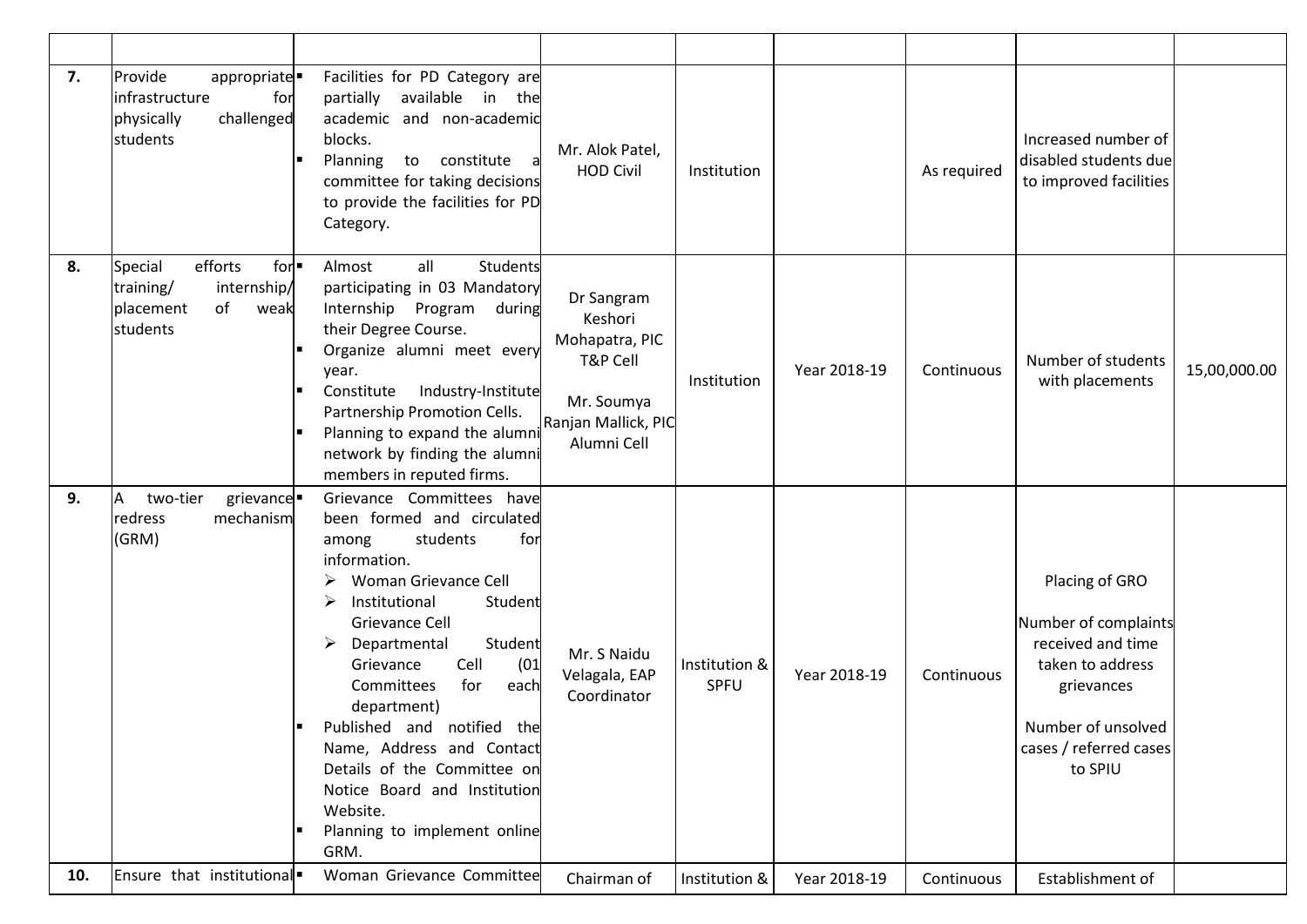| 7.  | Provide<br>appropriate<br>for<br>infrastructure<br>challenged<br>physically<br>students               | Facilities for PD Category are<br>available in the<br>partially<br>academic and non-academic<br>blocks.<br>Planning<br>to constitute<br>committee for taking decisions<br>to provide the facilities for PD<br>Category.                                                                                                                                                                                                                                     | Mr. Alok Patel,<br><b>HOD Civil</b>                                                                     | Institution           |              | As required | Increased number of<br>disabled students due<br>to improved facilities                                                                                   |              |
|-----|-------------------------------------------------------------------------------------------------------|-------------------------------------------------------------------------------------------------------------------------------------------------------------------------------------------------------------------------------------------------------------------------------------------------------------------------------------------------------------------------------------------------------------------------------------------------------------|---------------------------------------------------------------------------------------------------------|-----------------------|--------------|-------------|----------------------------------------------------------------------------------------------------------------------------------------------------------|--------------|
| 8.  | efforts<br>Special<br>$for -$<br>internship/<br>training/<br>of<br>placement<br>weak<br>students<br>ш | Almost<br>all<br>Students<br>participating in 03 Mandatory<br>Internship Program<br>during<br>their Degree Course.<br>Organize alumni meet every<br>year.<br>Industry-Institute<br>Constitute<br>Partnership Promotion Cells.<br>Planning to expand the alumni<br>network by finding the alumni<br>members in reputed firms.                                                                                                                                | Dr Sangram<br>Keshori<br>Mohapatra, PIC<br>T&P Cell<br>Mr. Soumya<br>Ranjan Mallick, PIC<br>Alumni Cell | Institution           | Year 2018-19 | Continuous  | Number of students<br>with placements                                                                                                                    | 15,00,000.00 |
| 9.  | two-tier<br>grievance -<br>A<br>mechanism<br>redress<br>(GRM)<br>п                                    | Grievance Committees have<br>been formed and circulated<br>for<br>students<br>among<br>information.<br>Woman Grievance Cell<br>Institutional<br>Student<br>Grievance Cell<br>Departmental<br>Student<br>Cell<br>(01)<br>Grievance<br>for<br>each<br>Committees<br>department)<br>Published and notified the<br>Name, Address and Contact<br>Details of the Committee on<br>Notice Board and Institution<br>Website.<br>Planning to implement online<br>GRM. | Mr. S Naidu<br>Velagala, EAP<br>Coordinator                                                             | Institution &<br>SPFU | Year 2018-19 | Continuous  | Placing of GRO<br>Number of complaints<br>received and time<br>taken to address<br>grievances<br>Number of unsolved<br>cases / referred cases<br>to SPIU |              |
| 10. | Ensure that institutional.                                                                            | Woman Grievance Committee                                                                                                                                                                                                                                                                                                                                                                                                                                   | Chairman of                                                                                             | Institution &         | Year 2018-19 | Continuous  | Establishment of                                                                                                                                         |              |